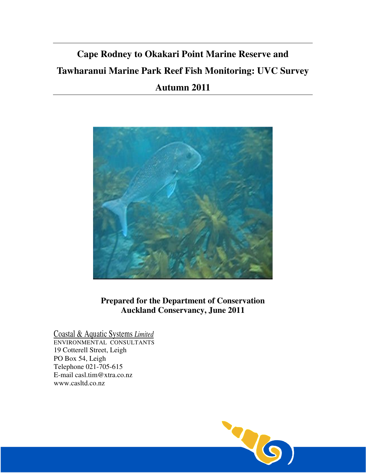# **Cape Rodney to Okakari Point Marine Reserve and Tawharanui Marine Park Reef Fish Monitoring: UVC Survey Autumn 2011**



**Prepared for the Department of Conservation Auckland Conservancy, June 2011** 

Coastal & Aquatic Systems *Limited*

ENVIRONMENTAL CONSULTANTS 19 Cotterell Street, Leigh PO Box 54, Leigh Telephone 021-705-615 E-mail casl.tim@xtra.co.nz www.casltd.co.nz

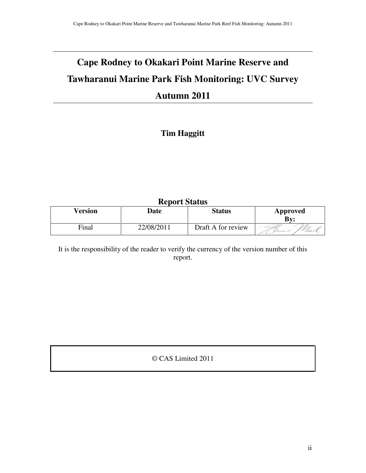# **Cape Rodney to Okakari Point Marine Reserve and Tawharanui Marine Park Fish Monitoring: UVC Survey Autumn 2011**

## **Tim Haggitt**

## **Report Status**

| Version | Date       | <b>Status</b>      | Approved<br>Bv: |
|---------|------------|--------------------|-----------------|
| Final   | 22/08/2011 | Draft A for review | Ums             |

It is the responsibility of the reader to verify the currency of the version number of this report.

© CAS Limited 2011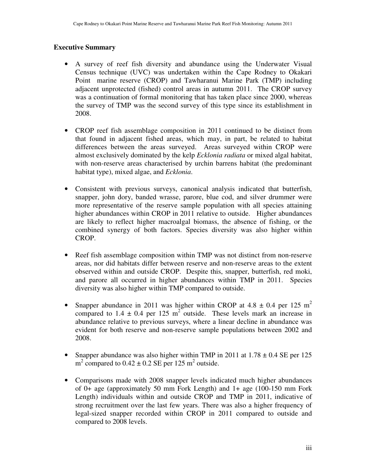#### **Executive Summary**

- A survey of reef fish diversity and abundance using the Underwater Visual Census technique (UVC) was undertaken within the Cape Rodney to Okakari Point marine reserve (CROP) and Tawharanui Marine Park (TMP) including adjacent unprotected (fished) control areas in autumn 2011. The CROP survey was a continuation of formal monitoring that has taken place since 2000, whereas the survey of TMP was the second survey of this type since its establishment in 2008.
- CROP reef fish assemblage composition in 2011 continued to be distinct from that found in adjacent fished areas, which may, in part, be related to habitat differences between the areas surveyed. Areas surveyed within CROP were almost exclusively dominated by the kelp *Ecklonia radiata* or mixed algal habitat, with non-reserve areas characterised by urchin barrens habitat (the predominant habitat type), mixed algae, and *Ecklonia*.
- Consistent with previous surveys, canonical analysis indicated that butterfish, snapper, john dory, banded wrasse, parore, blue cod, and silver drummer were more representative of the reserve sample population with all species attaining higher abundances within CROP in 2011 relative to outside. Higher abundances are likely to reflect higher macroalgal biomass, the absence of fishing, or the combined synergy of both factors. Species diversity was also higher within CROP.
- Reef fish assemblage composition within TMP was not distinct from non-reserve areas, nor did habitats differ between reserve and non-reserve areas to the extent observed within and outside CROP. Despite this, snapper, butterfish, red moki, and parore all occurred in higher abundances within TMP in 2011. Species diversity was also higher within TMP compared to outside.
- Snapper abundance in 2011 was higher within CROP at 4.8  $\pm$  0.4 per 125 m<sup>2</sup> compared to 1.4  $\pm$  0.4 per 125 m<sup>2</sup> outside. These levels mark an increase in abundance relative to previous surveys, where a linear decline in abundance was evident for both reserve and non-reserve sample populations between 2002 and 2008.
- Snapper abundance was also higher within TMP in 2011 at  $1.78 \pm 0.4$  SE per 125  $m^2$  compared to  $0.42 \pm 0.2$  SE per 125 m<sup>2</sup> outside.
- Comparisons made with 2008 snapper levels indicated much higher abundances of 0+ age (approximately 50 mm Fork Length) and 1+ age (100-150 mm Fork Length) individuals within and outside CROP and TMP in 2011, indicative of strong recruitment over the last few years. There was also a higher frequency of legal-sized snapper recorded within CROP in 2011 compared to outside and compared to 2008 levels.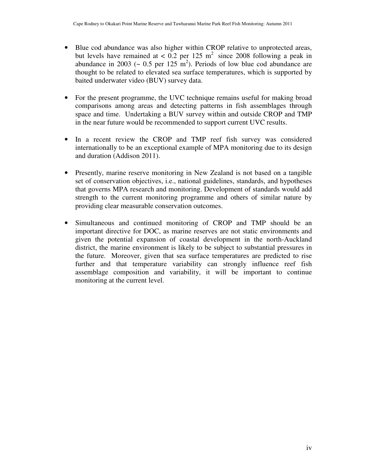- Blue cod abundance was also higher within CROP relative to unprotected areas, but levels have remained at  $< 0.2$  per 125 m<sup>2</sup> since 2008 following a peak in abundance in 2003 ( $\sim 0.5$  per 125 m<sup>2</sup>). Periods of low blue cod abundance are thought to be related to elevated sea surface temperatures, which is supported by baited underwater video (BUV) survey data.
- For the present programme, the UVC technique remains useful for making broad comparisons among areas and detecting patterns in fish assemblages through space and time. Undertaking a BUV survey within and outside CROP and TMP in the near future would be recommended to support current UVC results.
- In a recent review the CROP and TMP reef fish survey was considered internationally to be an exceptional example of MPA monitoring due to its design and duration (Addison 2011).
- Presently, marine reserve monitoring in New Zealand is not based on a tangible set of conservation objectives, i.e., national guidelines, standards, and hypotheses that governs MPA research and monitoring. Development of standards would add strength to the current monitoring programme and others of similar nature by providing clear measurable conservation outcomes.
- Simultaneous and continued monitoring of CROP and TMP should be an important directive for DOC, as marine reserves are not static environments and given the potential expansion of coastal development in the north-Auckland district, the marine environment is likely to be subject to substantial pressures in the future. Moreover, given that sea surface temperatures are predicted to rise further and that temperature variability can strongly influence reef fish assemblage composition and variability, it will be important to continue monitoring at the current level.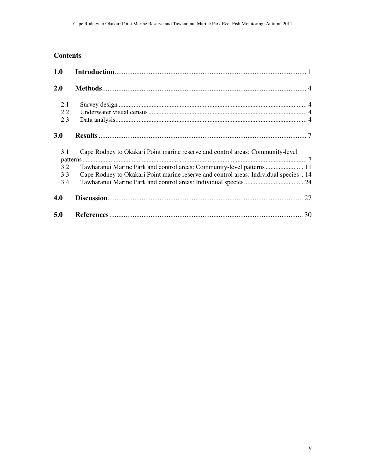## **Contents**

| 1.0 |                                                                                       |
|-----|---------------------------------------------------------------------------------------|
| 2.0 |                                                                                       |
| 2.1 |                                                                                       |
| 2.2 |                                                                                       |
| 2.3 |                                                                                       |
| 3.0 |                                                                                       |
| 3.1 | Cape Rodney to Okakari Point marine reserve and control areas: Community-level        |
|     |                                                                                       |
| 3.2 | Tawharanui Marine Park and control areas: Community-level patterns 11                 |
| 3.3 | Cape Rodney to Okakari Point marine reserve and control areas: Individual species  14 |
| 3.4 |                                                                                       |
| 4.0 |                                                                                       |
| 5.0 |                                                                                       |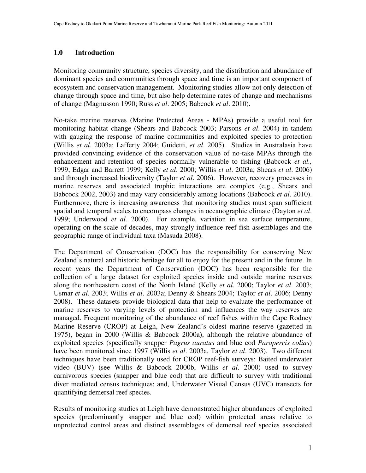#### **1.0 Introduction**

Monitoring community structure, species diversity, and the distribution and abundance of dominant species and communities through space and time is an important component of ecosystem and conservation management. Monitoring studies allow not only detection of change through space and time, but also help determine rates of change and mechanisms of change (Magnusson 1990; Russ *et al*. 2005; Babcock *et al*. 2010).

No-take marine reserves (Marine Protected Areas - MPAs) provide a useful tool for monitoring habitat change (Shears and Babcock 2003; Parsons *et al*. 2004) in tandem with gauging the response of marine communities and exploited species to protection (Willis *et al*. 2003a; Lafferty 2004; Guidetti, *et al*. 2005). Studies in Australasia have provided convincing evidence of the conservation value of no-take MPAs through the enhancement and retention of species normally vulnerable to fishing (Babcock *et al.,* 1999; Edgar and Barrett 1999; Kelly *et al*. 2000; Willis *et al*. 2003a; Shears *et al*. 2006) and through increased biodiversity (Taylor *et al*. 2006). However, recovery processes in marine reserves and associated trophic interactions are complex (e.g., Shears and Babcock 2002, 2003) and may vary considerably among locations (Babcock *et al*. 2010). Furthermore, there is increasing awareness that monitoring studies must span sufficient spatial and temporal scales to encompass changes in oceanographic climate (Dayton *et al*. 1999; Underwood *et al.* 2000). For example, variation in sea surface temperature, operating on the scale of decades, may strongly influence reef fish assemblages and the geographic range of individual taxa (Masuda 2008).

The Department of Conservation (DOC) has the responsibility for conserving New Zealand's natural and historic heritage for all to enjoy for the present and in the future. In recent years the Department of Conservation (DOC) has been responsible for the collection of a large dataset for exploited species inside and outside marine reserves along the northeastern coast of the North Island (Kelly *et al*. 2000; Taylor *et al*. 2003; Usmar *et al*. 2003; Willis *et al*. 2003a; Denny & Shears 2004; Taylor *et al*. 2006; Denny 2008). These datasets provide biological data that help to evaluate the performance of marine reserves to varying levels of protection and influences the way reserves are managed. Frequent monitoring of the abundance of reef fishes within the Cape Rodney Marine Reserve (CROP) at Leigh, New Zealand's oldest marine reserve (gazetted in 1975), began in 2000 (Willis & Babcock 2000a), although the relative abundance of exploited species (specifically snapper *Pagrus auratus* and blue cod *Parapercis colias*) have been monitored since 1997 (Willis *et al*. 2003a, Taylor *et al*. 2003). Two different techniques have been traditionally used for CROP reef-fish surveys: Baited underwater video (BUV) (see Willis & Babcock 2000b, Willis *et al*. 2000) used to survey carnivorous species (snapper and blue cod) that are difficult to survey with traditional diver mediated census techniques; and, Underwater Visual Census (UVC) transects for quantifying demersal reef species.

Results of monitoring studies at Leigh have demonstrated higher abundances of exploited species (predominantly snapper and blue cod) within protected areas relative to unprotected control areas and distinct assemblages of demersal reef species associated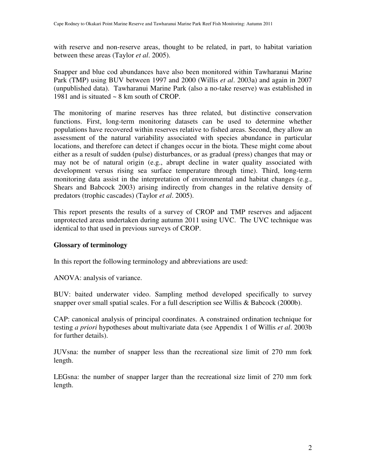with reserve and non-reserve areas, thought to be related, in part, to habitat variation between these areas (Taylor *et al*. 2005).

Snapper and blue cod abundances have also been monitored within Tawharanui Marine Park (TMP) using BUV between 1997 and 2000 (Willis *et al*. 2003a) and again in 2007 (unpublished data). Tawharanui Marine Park (also a no-take reserve) was established in 1981 and is situated ~ 8 km south of CROP.

The monitoring of marine reserves has three related, but distinctive conservation functions. First, long-term monitoring datasets can be used to determine whether populations have recovered within reserves relative to fished areas. Second, they allow an assessment of the natural variability associated with species abundance in particular locations, and therefore can detect if changes occur in the biota. These might come about either as a result of sudden (pulse) disturbances, or as gradual (press) changes that may or may not be of natural origin (e.g., abrupt decline in water quality associated with development versus rising sea surface temperature through time). Third, long-term monitoring data assist in the interpretation of environmental and habitat changes (e.g., Shears and Babcock 2003) arising indirectly from changes in the relative density of predators (trophic cascades) (Taylor *et al*. 2005).

This report presents the results of a survey of CROP and TMP reserves and adjacent unprotected areas undertaken during autumn 2011 using UVC. The UVC technique was identical to that used in previous surveys of CROP.

#### **Glossary of terminology**

In this report the following terminology and abbreviations are used:

ANOVA: analysis of variance.

BUV: baited underwater video. Sampling method developed specifically to survey snapper over small spatial scales. For a full description see Willis & Babcock (2000b).

CAP: canonical analysis of principal coordinates. A constrained ordination technique for testing *a priori* hypotheses about multivariate data (see Appendix 1 of Willis *et al*. 2003b for further details).

JUVsna: the number of snapper less than the recreational size limit of 270 mm fork length.

LEGsna: the number of snapper larger than the recreational size limit of 270 mm fork length.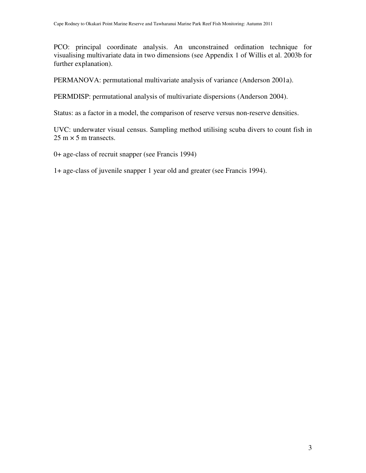PCO: principal coordinate analysis. An unconstrained ordination technique for visualising multivariate data in two dimensions (see Appendix 1 of Willis et al. 2003b for further explanation).

PERMANOVA: permutational multivariate analysis of variance (Anderson 2001a).

PERMDISP: permutational analysis of multivariate dispersions (Anderson 2004).

Status: as a factor in a model, the comparison of reserve versus non-reserve densities.

UVC: underwater visual census. Sampling method utilising scuba divers to count fish in  $25 \text{ m} \times 5 \text{ m}$  transects.

0+ age-class of recruit snapper (see Francis 1994)

1+ age-class of juvenile snapper 1 year old and greater (see Francis 1994).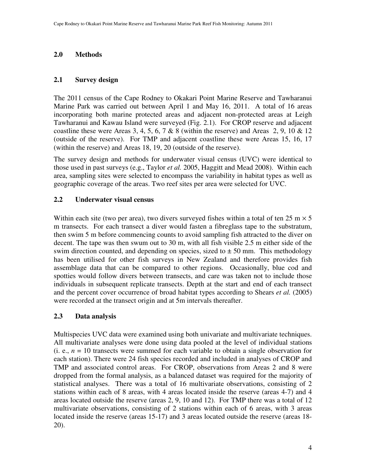### **2.0 Methods**

#### **2.1 Survey design**

The 2011 census of the Cape Rodney to Okakari Point Marine Reserve and Tawharanui Marine Park was carried out between April 1 and May 16, 2011. A total of 16 areas incorporating both marine protected areas and adjacent non-protected areas at Leigh Tawharanui and Kawau Island were surveyed (Fig. 2.1). For CROP reserve and adjacent coastline these were Areas 3, 4, 5, 6, 7 & 8 (within the reserve) and Areas 2, 9, 10 & 12 (outside of the reserve). For TMP and adjacent coastline these were Areas 15, 16, 17 (within the reserve) and Areas 18, 19, 20 (outside of the reserve).

The survey design and methods for underwater visual census (UVC) were identical to those used in past surveys (e.g., Taylor *et al.* 2005, Haggitt and Mead 2008). Within each area, sampling sites were selected to encompass the variability in habitat types as well as geographic coverage of the areas. Two reef sites per area were selected for UVC.

#### **2.2 Underwater visual census**

Within each site (two per area), two divers surveyed fishes within a total of ten 25 m  $\times$  5 m transects. For each transect a diver would fasten a fibreglass tape to the substratum, then swim 5 m before commencing counts to avoid sampling fish attracted to the diver on decent. The tape was then swum out to 30 m, with all fish visible 2.5 m either side of the swim direction counted, and depending on species, sized to  $\pm$  50 mm. This methodology has been utilised for other fish surveys in New Zealand and therefore provides fish assemblage data that can be compared to other regions. Occasionally, blue cod and spotties would follow divers between transects, and care was taken not to include those individuals in subsequent replicate transects. Depth at the start and end of each transect and the percent cover occurrence of broad habitat types according to Shears *et al.* (2005) were recorded at the transect origin and at 5m intervals thereafter.

#### **2.3 Data analysis**

Multispecies UVC data were examined using both univariate and multivariate techniques. All multivariate analyses were done using data pooled at the level of individual stations (i. e.,  $n = 10$  transects were summed for each variable to obtain a single observation for each station). There were 24 fish species recorded and included in analyses of CROP and TMP and associated control areas. For CROP, observations from Areas 2 and 8 were dropped from the formal analysis, as a balanced dataset was required for the majority of statistical analyses. There was a total of 16 multivariate observations, consisting of 2 stations within each of 8 areas, with 4 areas located inside the reserve (areas 4-7) and 4 areas located outside the reserve (areas 2, 9, 10 and 12). For TMP there was a total of 12 multivariate observations, consisting of 2 stations within each of 6 areas, with 3 areas located inside the reserve (areas 15-17) and 3 areas located outside the reserve (areas 18- 20).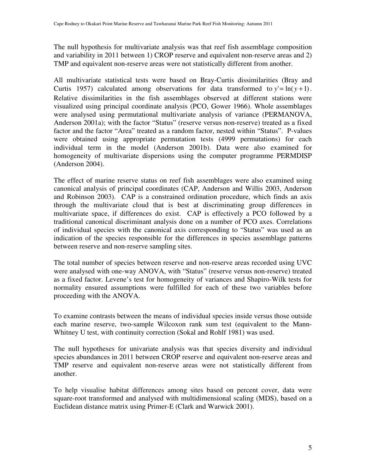The null hypothesis for multivariate analysis was that reef fish assemblage composition and variability in 2011 between 1) CROP reserve and equivalent non-reserve areas and 2) TMP and equivalent non-reserve areas were not statistically different from another.

All multivariate statistical tests were based on Bray-Curtis dissimilarities (Bray and Curtis 1957) calculated among observations for data transformed to  $y' = \ln(y + 1)$ . Relative dissimilarities in the fish assemblages observed at different stations were visualized using principal coordinate analysis (PCO, Gower 1966). Whole assemblages were analysed using permutational multivariate analysis of variance (PERMANOVA, Anderson 2001a); with the factor "Status" (reserve versus non-reserve) treated as a fixed factor and the factor "Area" treated as a random factor, nested within "Status". P-values were obtained using appropriate permutation tests (4999 permutations) for each individual term in the model (Anderson 2001b). Data were also examined for homogeneity of multivariate dispersions using the computer programme PERMDISP (Anderson 2004).

The effect of marine reserve status on reef fish assemblages were also examined using canonical analysis of principal coordinates (CAP, Anderson and Willis 2003, Anderson and Robinson 2003). CAP is a constrained ordination procedure, which finds an axis through the multivariate cloud that is best at discriminating group differences in multivariate space, if differences do exist. CAP is effectively a PCO followed by a traditional canonical discriminant analysis done on a number of PCO axes. Correlations of individual species with the canonical axis corresponding to "Status" was used as an indication of the species responsible for the differences in species assemblage patterns between reserve and non-reserve sampling sites.

The total number of species between reserve and non-reserve areas recorded using UVC were analysed with one-way ANOVA, with "Status" (reserve versus non-reserve) treated as a fixed factor. Levene's test for homogeneity of variances and Shapiro-Wilk tests for normality ensured assumptions were fulfilled for each of these two variables before proceeding with the ANOVA.

To examine contrasts between the means of individual species inside versus those outside each marine reserve, two-sample Wilcoxon rank sum test (equivalent to the Mann-Whitney U test, with continuity correction (Sokal and Rohlf 1981) was used.

The null hypotheses for univariate analysis was that species diversity and individual species abundances in 2011 between CROP reserve and equivalent non-reserve areas and TMP reserve and equivalent non-reserve areas were not statistically different from another.

To help visualise habitat differences among sites based on percent cover, data were square-root transformed and analysed with multidimensional scaling (MDS), based on a Euclidean distance matrix using Primer-E (Clark and Warwick 2001).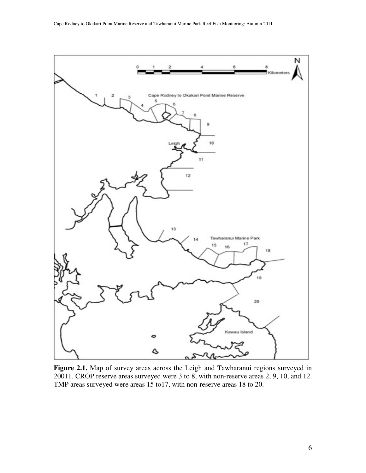

**Figure 2.1.** Map of survey areas across the Leigh and Tawharanui regions surveyed in 20011. CROP reserve areas surveyed were 3 to 8, with non-reserve areas 2, 9, 10, and 12. TMP areas surveyed were areas 15 to17, with non-reserve areas 18 to 20.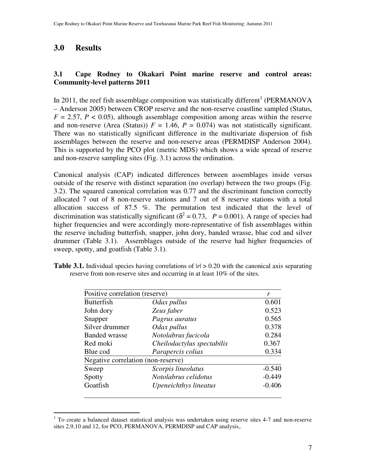## **3.0 Results**

#### **3.1 Cape Rodney to Okakari Point marine reserve and control areas: Community-level patterns 2011**

In 2011, the reef fish assemblage composition was statistically different<sup>1</sup> (PERMANOVA – Anderson 2005) between CROP reserve and the non-reserve coastline sampled (Status,  $F = 2.57$ ,  $P < 0.05$ ), although assemblage composition among areas within the reserve and non-reserve (Area (Status))  $F = 1.46$ ,  $P = 0.074$ ) was not statistically significant. There was no statistically significant difference in the multivariate dispersion of fish assemblages between the reserve and non-reserve areas (PERMDISP Anderson 2004). This is supported by the PCO plot (metric MDS) which shows a wide spread of reserve and non-reserve sampling sites (Fig. 3.1) across the ordination.

Canonical analysis (CAP) indicated differences between assemblages inside versus outside of the reserve with distinct separation (no overlap) between the two groups (Fig. 3.2). The squared canonical correlation was 0.77 and the discriminant function correctly allocated 7 out of 8 non-reserve stations and 7 out of 8 reserve stations with a total allocation success of 87.5 %. The permutation test indicated that the level of discrimination was statistically significant  $\delta^2 = 0.73$ ,  $P = 0.001$ ). A range of species had higher frequencies and were accordingly more-representative of fish assemblages within the reserve including butterfish, snapper, john dory, banded wrasse, blue cod and silver drummer (Table 3.1). Assemblages outside of the reserve had higher frequencies of sweep, spotty, and goatfish (Table 3.1).

| <b>Table 3.1.</b> Individual species having correlations of $ r  > 0.20$ with the canonical axis separating |  |
|-------------------------------------------------------------------------------------------------------------|--|
| reserve from non-reserve sites and occurring in at least 10% of the sites.                                  |  |

| Positive correlation (reserve)     |                            | r        |
|------------------------------------|----------------------------|----------|
|                                    |                            |          |
| <b>Butterfish</b>                  | Odax pullus                | 0.601    |
| John dory                          | Zeus faber                 | 0.523    |
| Snapper                            | Pagrus auratus             | 0.565    |
| Silver drummer                     | Odax pullus                | 0.378    |
| <b>Banded wrasse</b>               | Notolabrus fucicola        | 0.284    |
| Red moki                           | Cheilodactylus spectabilis | 0.367    |
| Blue cod                           | Parapercis colias          | 0.334    |
| Negative correlation (non-reserve) |                            |          |
| Sweep                              | Scorpis lineolatus         | $-0.540$ |
| Spotty                             | Notolabrus celidotus       | $-0.449$ |
| Goatfish                           | Upeneichthys lineatus      | $-0.406$ |
|                                    |                            |          |

 1 To create a balanced dataset statistical analysis was undertaken using reserve sites 4-7 and non-reserve sites 2,9,10 and 12, for PCO, PERMANOVA, PERMDISP and CAP analysis,.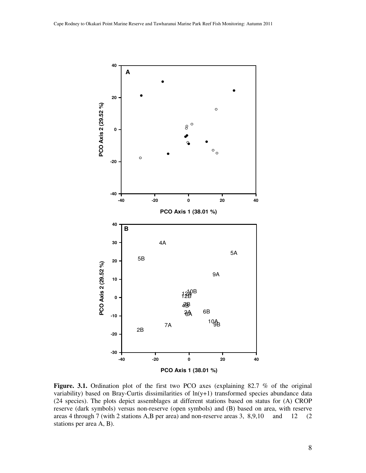

Figure. 3.1. Ordination plot of the first two PCO axes (explaining 82.7 % of the original variability) based on Bray-Curtis dissimilarities of  $ln(y+1)$  transformed species abundance data (24 species). The plots depict assemblages at different stations based on status for (A) CROP reserve (dark symbols) versus non-reserve (open symbols) and (B) based on area, with reserve areas 4 through 7 (with 2 stations A,B per area) and non-reserve areas 3, 8,9,10 and 12 (2 stations per area A, B).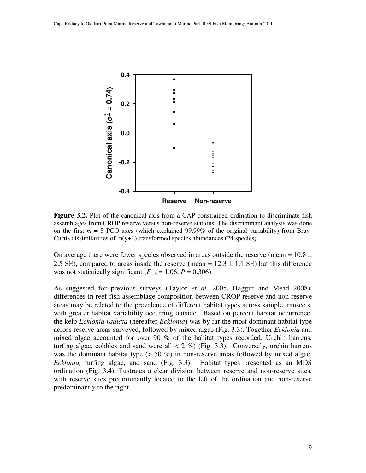

**Figure 3.2.** Plot of the canonical axis from a CAP constrained ordination to discriminate fish assemblages from CROP reserve versus non-reserve stations. The discriminant analysis was done on the first  $m = 8$  PCO axes (which explained 99.99% of the original variability) from Bray-Curtis dissimilarities of ln(y+1) transformed species abundances (24 species).

On average there were fewer species observed in areas outside the reserve (mean =  $10.8 \pm$ 2.5 SE), compared to areas inside the reserve (mean =  $12.3 \pm 1.1$  SE) but this difference was not statistically significant  $(F_{1,8} = 1.06, P = 0.306)$ .

As suggested for previous surveys (Taylor *et al*. 2005, Haggitt and Mead 2008), differences in reef fish assemblage composition between CROP reserve and non-reserve areas may be related to the prevalence of different habitat types across sample transects, with greater habitat variability occurring outside. Based on percent habitat occurrence, the kelp *Ecklonia radiata* (hereafter *Ecklonia*) was by far the most dominant habitat type across reserve areas surveyed, followed by mixed algae (Fig. 3.3). Together *Ecklonia* and mixed algae accounted for over 90 % of the habitat types recorded. Urchin barrens, turfing algae, cobbles and sand were all  $\lt 2\%$  (Fig. 3.3). Conversely, urchin barrens was the dominant habitat type ( $> 50 \%$ ) in non-reserve areas followed by mixed algae, *Ecklonia,* turfing algae, and sand (Fig. 3.3). Habitat types presented as an MDS ordination (Fig. 3.4) illustrates a clear division between reserve and non-reserve sites, with reserve sites predominantly located to the left of the ordination and non-reserve predominantly to the right.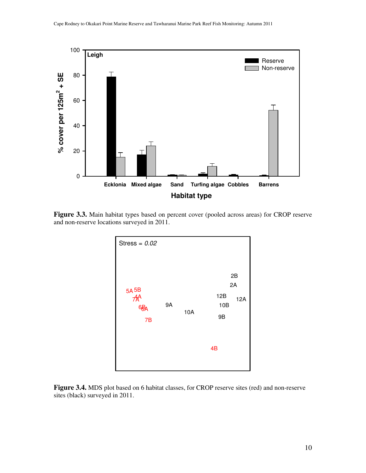

**Figure 3.3.** Main habitat types based on percent cover (pooled across areas) for CROP reserve and non-reserve locations surveyed in 2011.



**Figure 3.4.** MDS plot based on 6 habitat classes, for CROP reserve sites (red) and non-reserve sites (black) surveyed in 2011.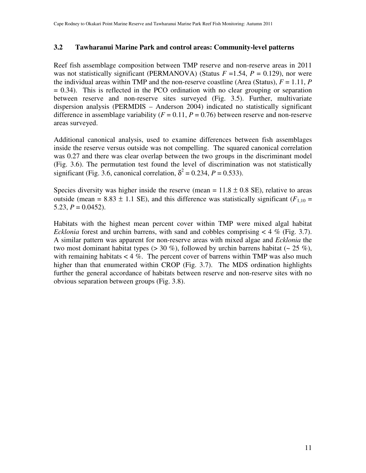#### **3.2 Tawharanui Marine Park and control areas: Community-level patterns**

Reef fish assemblage composition between TMP reserve and non-reserve areas in 2011 was not statistically significant (PERMANOVA) (Status  $F = 1.54$ ,  $P = 0.129$ ), nor were the individual areas within TMP and the non-reserve coastline (Area (Status),  $F = 1.11$ ,  $P$  $= 0.34$ ). This is reflected in the PCO ordination with no clear grouping or separation between reserve and non-reserve sites surveyed (Fig. 3.5). Further, multivariate dispersion analysis (PERMDIS – Anderson 2004) indicated no statistically significant difference in assemblage variability  $(F = 0.11, P = 0.76)$  between reserve and non-reserve areas surveyed.

Additional canonical analysis, used to examine differences between fish assemblages inside the reserve versus outside was not compelling. The squared canonical correlation was 0.27 and there was clear overlap between the two groups in the discriminant model (Fig. 3.6). The permutation test found the level of discrimination was not statistically significant (Fig. 3.6, canonical correlation,  $\delta^2 = 0.234$ ,  $P = 0.533$ ).

Species diversity was higher inside the reserve (mean =  $11.8 \pm 0.8$  SE), relative to areas outside (mean = 8.83  $\pm$  1.1 SE), and this difference was statistically significant ( $F_{1,10}$  = 5.23,  $P = 0.0452$ ).

Habitats with the highest mean percent cover within TMP were mixed algal habitat *Ecklonia* forest and urchin barrens, with sand and cobbles comprising < 4 % (Fig. 3.7). A similar pattern was apparent for non-reserve areas with mixed algae and *Ecklonia* the two most dominant habitat types ( $>$  30 %), followed by urchin barrens habitat ( $\sim$  25 %), with remaining habitats  $< 4 \%$ . The percent cover of barrens within TMP was also much higher than that enumerated within CROP (Fig. 3.7). The MDS ordination highlights further the general accordance of habitats between reserve and non-reserve sites with no obvious separation between groups (Fig. 3.8).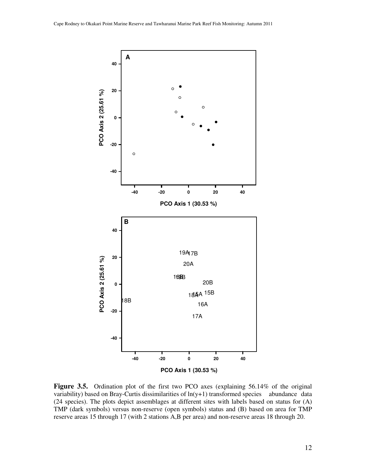

**Figure 3.5.** Ordination plot of the first two PCO axes (explaining 56.14% of the original variability) based on Bray-Curtis dissimilarities of ln(y+1) transformed species abundance data (24 species). The plots depict assemblages at different sites with labels based on status for (A) TMP (dark symbols) versus non-reserve (open symbols) status and (B) based on area for TMP reserve areas 15 through 17 (with 2 stations A,B per area) and non-reserve areas 18 through 20.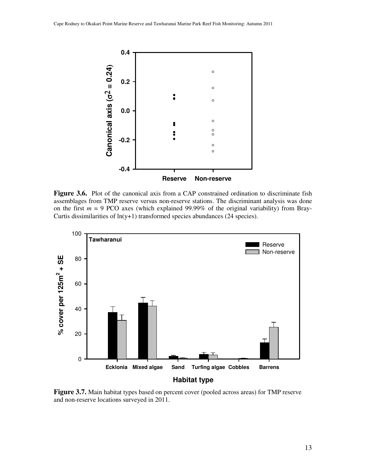

**Figure 3.6.** Plot of the canonical axis from a CAP constrained ordination to discriminate fish assemblages from TMP reserve versus non-reserve stations. The discriminant analysis was done on the first *m* = 9 PCO axes (which explained 99.99% of the original variability) from Bray-Curtis dissimilarities of  $ln(y+1)$  transformed species abundances (24 species).



**Figure 3.7.** Main habitat types based on percent cover (pooled across areas) for TMP reserve and non-reserve locations surveyed in 2011.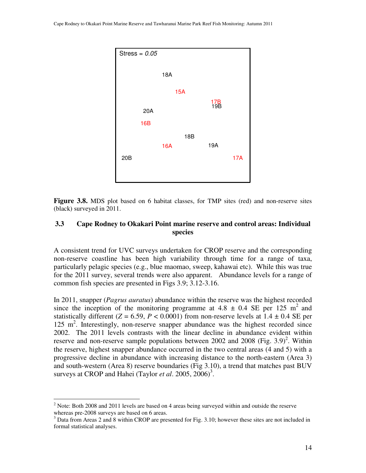

**Figure 3.8.** MDS plot based on 6 habitat classes, for TMP sites (red) and non-reserve sites (black) surveyed in 2011.

#### **3.3 Cape Rodney to Okakari Point marine reserve and control areas: Individual species**

A consistent trend for UVC surveys undertaken for CROP reserve and the corresponding non-reserve coastline has been high variability through time for a range of taxa, particularly pelagic species (e.g., blue maomao, sweep, kahawai etc). While this was true for the 2011 survey, several trends were also apparent. Abundance levels for a range of common fish species are presented in Figs 3.9; 3.12-3.16.

In 2011, snapper (*Pagrus auratus*) abundance within the reserve was the highest recorded since the inception of the monitoring programme at  $4.8 \pm 0.4$  SE per 125 m<sup>2</sup> and statistically different ( $Z = 6.59$ ,  $P < 0.0001$ ) from non-reserve levels at  $1.4 \pm 0.4$  SE per 125 m<sup>2</sup>. Interestingly, non-reserve snapper abundance was the highest recorded since 2002. The 2011 levels contrasts with the linear decline in abundance evident within reserve and non-reserve sample populations between 2002 and 2008 (Fig. 3.9)<sup>2</sup>. Within the reserve, highest snapper abundance occurred in the two central areas (4 and 5) with a progressive decline in abundance with increasing distance to the north-eastern (Area 3) and south-western (Area 8) reserve boundaries (Fig 3.10), a trend that matches past BUV surveys at CROP and Hahei (Taylor *et al.* 2005, 2006)<sup>3</sup>.

 $\overline{a}$ 

 $2$  Note: Both 2008 and 2011 levels are based on 4 areas being surveyed within and outside the reserve whereas pre-2008 surveys are based on 6 areas.

 $3$  Data from Areas 2 and 8 within CROP are presented for Fig. 3.10; however these sites are not included in formal statistical analyses.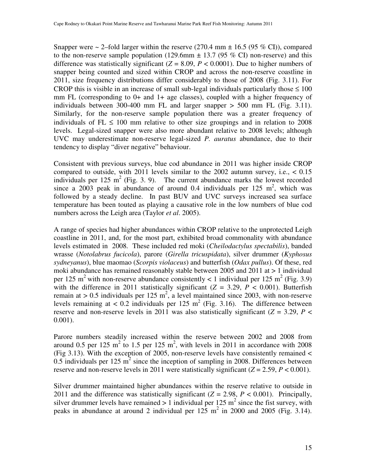Snapper were  $\sim$  2–fold larger within the reserve (270.4 mm  $\pm$  16.5 (95 % CI)), compared to the non-reserve sample population (129.6mm  $\pm$  13.7 (95 % CI) non-reserve) and this difference was statistically significant  $(Z = 8.09, P < 0.0001)$ . Due to higher numbers of snapper being counted and sized within CROP and across the non-reserve coastline in 2011, size frequency distributions differ considerably to those of 2008 (Fig. 3.11). For CROP this is visible in an increase of small sub-legal individuals particularly those  $\leq 100$ mm FL (corresponding to 0+ and 1+ age classes), coupled with a higher frequency of individuals between 300-400 mm FL and larger snapper  $> 500$  mm FL (Fig. 3.11). Similarly, for the non-reserve sample population there was a greater frequency of individuals of FL  $\leq$  100 mm relative to other size groupings and in relation to 2008 levels. Legal-sized snapper were also more abundant relative to 2008 levels; although UVC may underestimate non-reserve legal-sized *P. auratus* abundance, due to their tendency to display "diver negative" behaviour.

Consistent with previous surveys, blue cod abundance in 2011 was higher inside CROP compared to outside, with 2011 levels similar to the 2002 autumn survey, i.e.,  $< 0.15$ individuals per 125 m<sup>2</sup> (Fig. 3. 9). The current abundance marks the lowest recorded since a 2003 peak in abundance of around 0.4 individuals per 125  $m^2$ , which was followed by a steady decline. In past BUV and UVC surveys increased sea surface temperature has been touted as playing a causative role in the low numbers of blue cod numbers across the Leigh area (Taylor *et al*. 2005).

A range of species had higher abundances within CROP relative to the unprotected Leigh coastline in 2011, and, for the most part, exhibited broad commonality with abundance levels estimated in 2008. These included red moki (*Cheilodactylus spectabilis*), banded wrasse (*Notolabrus fucicola*), parore (*Girella tricuspidata*), silver drummer (*Kyphosus sydneyanus*), blue maomao (*Scorpis violaceus*) and butterfish (*Odax pullus*). Of these, red moki abundance has remained reasonably stable between 2005 and 2011 at  $> 1$  individual per 125 m<sup>2</sup> with non-reserve abundance consistently < 1 individual per 125 m<sup>2</sup> (Fig. 3.9) with the difference in 2011 statistically significant ( $Z = 3.29$ ,  $P < 0.001$ ). Butterfish remain at > 0.5 individuals per 125 m<sup>2</sup>, a level maintained since 2003, with non-reserve levels remaining at < 0.2 individuals per 125 m<sup>2</sup> (Fig. 3.16). The difference between reserve and non-reserve levels in 2011 was also statistically significant ( $Z = 3.29$ ,  $P <$ 0.001).

Parore numbers steadily increased within the reserve between 2002 and 2008 from around 0.5 per 125 m<sup>2</sup> to 1.5 per 125 m<sup>2</sup>, with levels in 2011 in accordance with 2008 (Fig 3.13). With the exception of 2005, non-reserve levels have consistently remained  $\lt$ 0.5 individuals per 125  $m^2$  since the inception of sampling in 2008. Differences between reserve and non-reserve levels in 2011 were statistically significant  $(Z = 2.59, P < 0.001)$ .

Silver drummer maintained higher abundances within the reserve relative to outside in 2011 and the difference was statistically significant  $(Z = 2.98, P < 0.001)$ . Principally, silver drummer levels have remained  $> 1$  individual per 125 m<sup>2</sup> since the fist survey, with peaks in abundance at around 2 individual per  $125 \text{ m}^2$  in 2000 and 2005 (Fig. 3.14).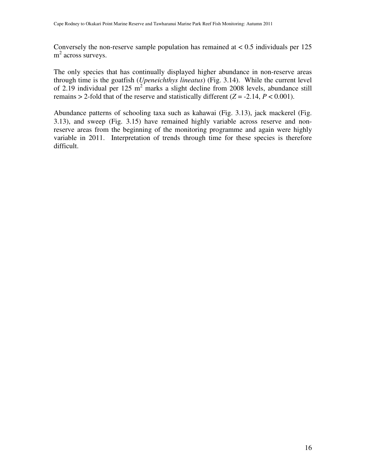Conversely the non-reserve sample population has remained at  $< 0.5$  individuals per 125 m<sup>2</sup> across surveys.

The only species that has continually displayed higher abundance in non-reserve areas through time is the goatfish (*Upeneichthys lineatus*) (Fig. 3.14). While the current level of 2.19 individual per 125  $m^2$  marks a slight decline from 2008 levels, abundance still remains > 2-fold that of the reserve and statistically different  $(Z = -2.14, P < 0.001)$ .

Abundance patterns of schooling taxa such as kahawai (Fig. 3.13), jack mackerel (Fig. 3.13), and sweep (Fig. 3.15) have remained highly variable across reserve and nonreserve areas from the beginning of the monitoring programme and again were highly variable in 2011. Interpretation of trends through time for these species is therefore difficult.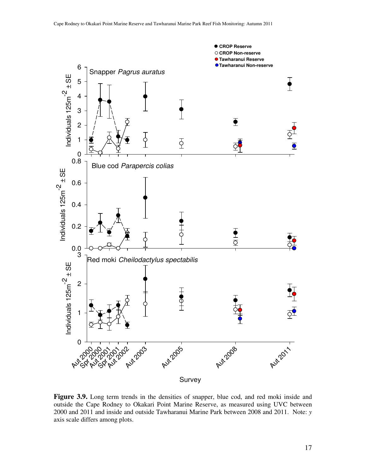

**Figure 3.9.** Long term trends in the densities of snapper, blue cod, and red moki inside and outside the Cape Rodney to Okakari Point Marine Reserve, as measured using UVC between 2000 and 2011 and inside and outside Tawharanui Marine Park between 2008 and 2011. Note: *y* axis scale differs among plots.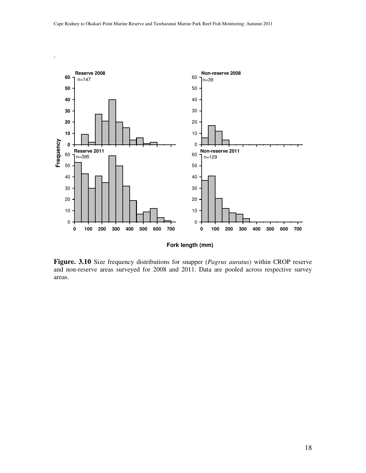.



**Fork length (mm)**

**Figure. 3.10** Size frequency distributions for snapper (*Pagrus auratus*) within CROP reserve and non-reserve areas surveyed for 2008 and 2011. Data are pooled across respective survey areas.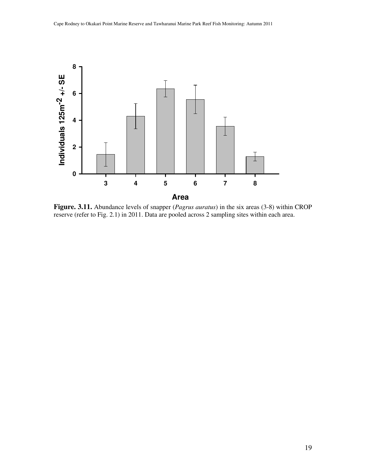

**Figure. 3.11.** Abundance levels of snapper (*Pagrus auratus*) in the six areas (3-8) within CROP reserve (refer to Fig. 2.1) in 2011. Data are pooled across 2 sampling sites within each area.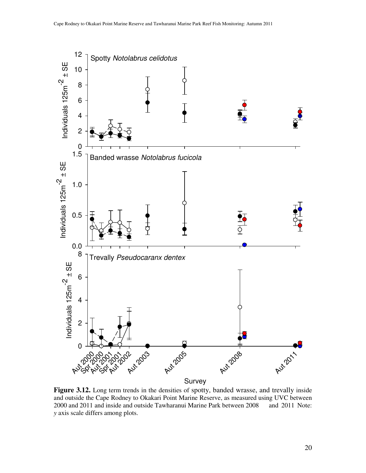

Figure 3.12. Long term trends in the densities of spotty, banded wrasse, and trevally inside and outside the Cape Rodney to Okakari Point Marine Reserve, as measured using UVC between 2000 and 2011 and inside and outside Tawharanui Marine Park between 2008 and 2011 Note: *y* axis scale differs among plots.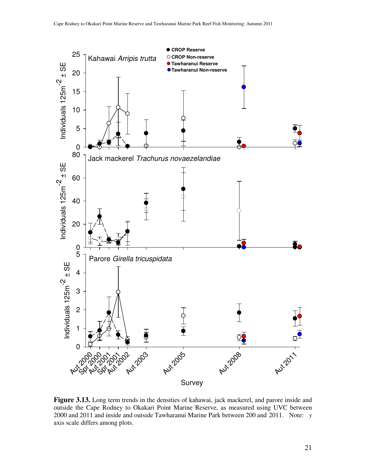

**Figure 3.13.** Long term trends in the densities of kahawai, jack mackerel, and parore inside and outside the Cape Rodney to Okakari Point Marine Reserve, as measured using UVC between 2000 and 2011 and inside and outside Tawharanui Marine Park between 200 and 2011. Note: *y* axis scale differs among plots.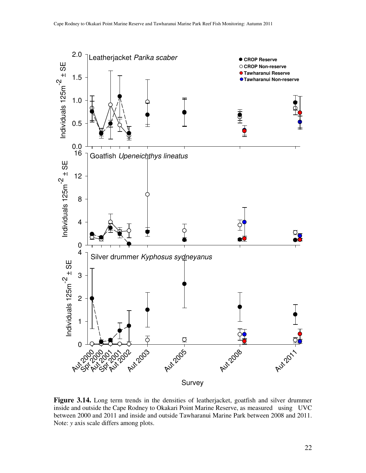

**Figure 3.14.** Long term trends in the densities of leatherjacket, goatfish and silver drummer inside and outside the Cape Rodney to Okakari Point Marine Reserve, as measured using UVC between 2000 and 2011 and inside and outside Tawharanui Marine Park between 2008 and 2011. Note: *y* axis scale differs among plots.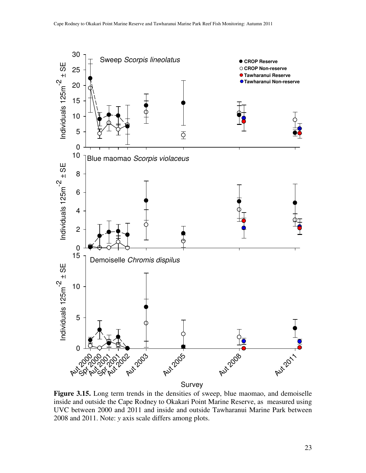

**Figure 3.15.** Long term trends in the densities of sweep, blue maomao, and demoiselle inside and outside the Cape Rodney to Okakari Point Marine Reserve, as measured using UVC between 2000 and 2011 and inside and outside Tawharanui Marine Park between 2008 and 2011. Note: *y* axis scale differs among plots.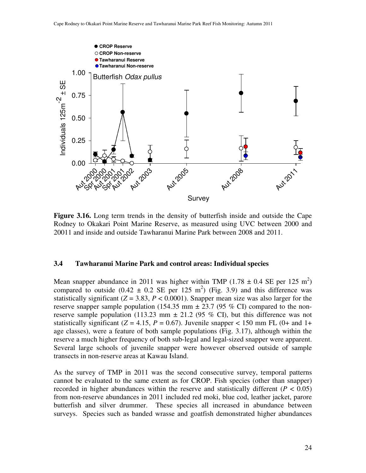

**Figure 3.16.** Long term trends in the density of butterfish inside and outside the Cape Rodney to Okakari Point Marine Reserve, as measured using UVC between 2000 and 20011 and inside and outside Tawharanui Marine Park between 2008 and 2011.

#### **3.4 Tawharanui Marine Park and control areas: Individual species**

Mean snapper abundance in 2011 was higher within TMP (1.78  $\pm$  0.4 SE per 125 m<sup>2</sup>) compared to outside  $(0.42 \pm 0.2 \text{ SE per } 125 \text{ m}^2)$  (Fig. 3.9) and this difference was statistically significant  $(Z = 3.83, P < 0.0001)$ . Snapper mean size was also larger for the reserve snapper sample population (154.35 mm  $\pm$  23.7 (95 % CI) compared to the nonreserve sample population (113.23 mm  $\pm$  21.2 (95 % CI), but this difference was not statistically significant ( $Z = 4.15$ ,  $P = 0.67$ ). Juvenile snapper < 150 mm FL (0+ and 1+ age classes), were a feature of both sample populations (Fig. 3.17), although within the reserve a much higher frequency of both sub-legal and legal-sized snapper were apparent. Several large schools of juvenile snapper were however observed outside of sample transects in non-reserve areas at Kawau Island.

As the survey of TMP in 2011 was the second consecutive survey, temporal patterns cannot be evaluated to the same extent as for CROP. Fish species (other than snapper) recorded in higher abundances within the reserve and statistically different  $(P < 0.05)$ from non-reserve abundances in 2011 included red moki, blue cod, leather jacket, parore butterfish and silver drummer. These species all increased in abundance between surveys. Species such as banded wrasse and goatfish demonstrated higher abundances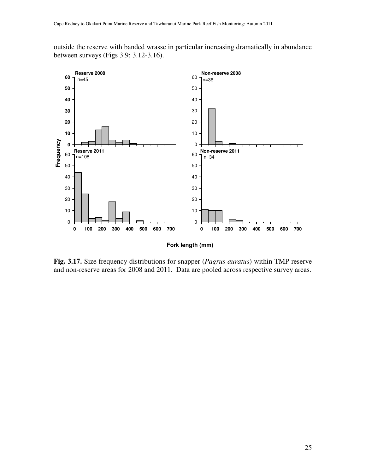outside the reserve with banded wrasse in particular increasing dramatically in abundance between surveys (Figs 3.9; 3.12-3.16).



**Fig. 3.17.** Size frequency distributions for snapper (*Pagrus auratus*) within TMP reserve and non-reserve areas for 2008 and 2011. Data are pooled across respective survey areas.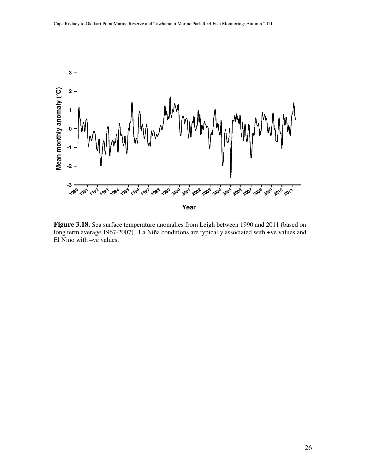

**Figure 3.18.** Sea surface temperature anomalies from Leigh between 1990 and 2011 (based on long term average 1967-2007). La Niña conditions are typically associated with +ve values and El Niño with –ve values.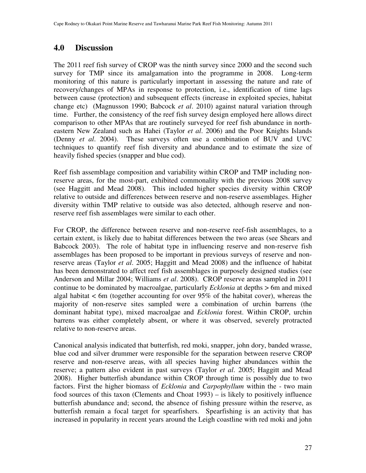## **4.0 Discussion**

The 2011 reef fish survey of CROP was the ninth survey since 2000 and the second such survey for TMP since its amalgamation into the programme in 2008. Long-term monitoring of this nature is particularly important in assessing the nature and rate of recovery/changes of MPAs in response to protection, i.e., identification of time lags between cause (protection) and subsequent effects (increase in exploited species, habitat change etc) (Magnusson 1990; Babcock *et al*. 2010) against natural variation through time. Further, the consistency of the reef fish survey design employed here allows direct comparison to other MPAs that are routinely surveyed for reef fish abundance in northeastern New Zealand such as Hahei (Taylor *et al*. 2006) and the Poor Knights Islands (Denny *et al*. 2004). These surveys often use a combination of BUV and UVC techniques to quantify reef fish diversity and abundance and to estimate the size of heavily fished species (snapper and blue cod).

Reef fish assemblage composition and variability within CROP and TMP including nonreserve areas, for the most-part, exhibited commonality with the previous 2008 survey (see Haggitt and Mead 2008). This included higher species diversity within CROP relative to outside and differences between reserve and non-reserve assemblages. Higher diversity within TMP relative to outside was also detected, although reserve and nonreserve reef fish assemblages were similar to each other.

For CROP, the difference between reserve and non-reserve reef-fish assemblages, to a certain extent, is likely due to habitat differences between the two areas (see Shears and Babcock 2003). The role of habitat type in influencing reserve and non-reserve fish assemblages has been proposed to be important in previous surveys of reserve and nonreserve areas (Taylor *et al*. 2005; Haggitt and Mead 2008) and the influence of habitat has been demonstrated to affect reef fish assemblages in purposely designed studies (see Anderson and Millar 2004; Williams *et al*. 2008). CROP reserve areas sampled in 2011 continue to be dominated by macroalgae, particularly *Ecklonia* at depths > 6m and mixed algal habitat  $\lt$  6m (together accounting for over 95% of the habitat cover), whereas the majority of non-reserve sites sampled were a combination of urchin barrens (the dominant habitat type), mixed macroalgae and *Ecklonia* forest. Within CROP, urchin barrens was either completely absent, or where it was observed, severely protracted relative to non-reserve areas.

Canonical analysis indicated that butterfish, red moki, snapper, john dory, banded wrasse, blue cod and silver drummer were responsible for the separation between reserve CROP reserve and non-reserve areas, with all species having higher abundances within the reserve; a pattern also evident in past surveys (Taylor *et al*. 2005; Haggitt and Mead 2008). Higher butterfish abundance within CROP through time is possibly due to two factors. First the higher biomass of *Ecklonia* and *Carpophyllum* within the - two main food sources of this taxon (Clements and Choat 1993) – is likely to positively influence butterfish abundance and; second, the absence of fishing pressure within the reserve, as butterfish remain a focal target for spearfishers. Spearfishing is an activity that has increased in popularity in recent years around the Leigh coastline with red moki and john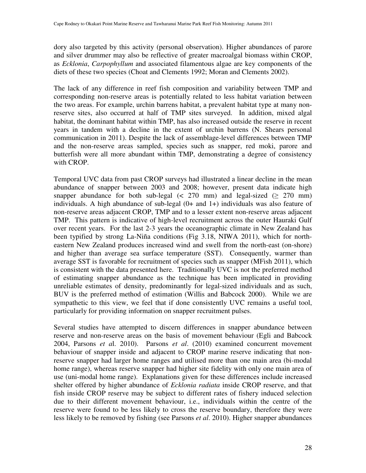dory also targeted by this activity (personal observation). Higher abundances of parore and silver drummer may also be reflective of greater macroalgal biomass within CROP, as *Ecklonia*, *Carpophyllum* and associated filamentous algae are key components of the diets of these two species (Choat and Clements 1992; Moran and Clements 2002).

The lack of any difference in reef fish composition and variability between TMP and corresponding non-reserve areas is potentially related to less habitat variation between the two areas. For example, urchin barrens habitat, a prevalent habitat type at many nonreserve sites, also occurred at half of TMP sites surveyed. In addition, mixed algal habitat, the dominant habitat within TMP, has also increased outside the reserve in recent years in tandem with a decline in the extent of urchin barrens (N. Shears personal communication in 2011). Despite the lack of assemblage-level differences between TMP and the non-reserve areas sampled, species such as snapper, red moki, parore and butterfish were all more abundant within TMP, demonstrating a degree of consistency with CROP.

Temporal UVC data from past CROP surveys had illustrated a linear decline in the mean abundance of snapper between 2003 and 2008; however, present data indicate high snapper abundance for both sub-legal ( $\lt$  270 mm) and legal-sized ( $\geq$  270 mm) individuals. A high abundance of sub-legal (0+ and 1+) individuals was also feature of non-reserve areas adjacent CROP, TMP and to a lesser extent non-reserve areas adjacent TMP. This pattern is indicative of high-level recruitment across the outer Hauraki Gulf over recent years. For the last 2-3 years the oceanographic climate in New Zealand has been typified by strong La-Niña conditions (Fig 3.18, NIWA 2011), which for northeastern New Zealand produces increased wind and swell from the north-east (on-shore) and higher than average sea surface temperature (SST). Consequently, warmer than average SST is favorable for recruitment of species such as snapper (MFish 2011), which is consistent with the data presented here. Traditionally UVC is not the preferred method of estimating snapper abundance as the technique has been implicated in providing unreliable estimates of density, predominantly for legal-sized individuals and as such, BUV is the preferred method of estimation (Willis and Babcock 2000). While we are sympathetic to this view, we feel that if done consistently UVC remains a useful tool, particularly for providing information on snapper recruitment pulses.

Several studies have attempted to discern differences in snapper abundance between reserve and non-reserve areas on the basis of movement behaviour (Egli and Babcock 2004, Parsons *et a*l. 2010). Parsons *et al*. (2010) examined concurrent movement behaviour of snapper inside and adjacent to CROP marine reserve indicating that nonreserve snapper had larger home ranges and utilised more than one main area (bi-modal home range), whereas reserve snapper had higher site fidelity with only one main area of use (uni-modal home range). Explanations given for these differences include increased shelter offered by higher abundance of *Ecklonia radiata* inside CROP reserve, and that fish inside CROP reserve may be subject to different rates of fishery induced selection due to their different movement behaviour, i.e., individuals within the centre of the reserve were found to be less likely to cross the reserve boundary, therefore they were less likely to be removed by fishing (see Parsons *et al*. 2010). Higher snapper abundances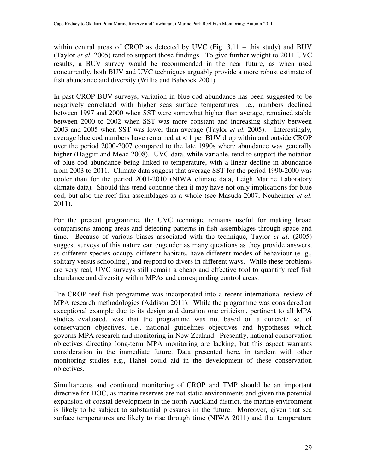within central areas of CROP as detected by UVC (Fig.  $3.11 -$  this study) and BUV (Taylor *et al*. 2005) tend to support those findings. To give further weight to 2011 UVC results, a BUV survey would be recommended in the near future, as when used concurrently, both BUV and UVC techniques arguably provide a more robust estimate of fish abundance and diversity (Willis and Babcock 2001).

In past CROP BUV surveys, variation in blue cod abundance has been suggested to be negatively correlated with higher seas surface temperatures, i.e., numbers declined between 1997 and 2000 when SST were somewhat higher than average, remained stable between 2000 to 2002 when SST was more constant and increasing slightly between 2003 and 2005 when SST was lower than average (Taylor *et al.* 2005). Interestingly, average blue cod numbers have remained at < 1 per BUV drop within and outside CROP over the period 2000-2007 compared to the late 1990s where abundance was generally higher (Haggitt and Mead 2008). UVC data, while variable, tend to support the notation of blue cod abundance being linked to temperature, with a linear decline in abundance from 2003 to 2011. Climate data suggest that average SST for the period 1990-2000 was cooler than for the period 2001-2010 (NIWA climate data, Leigh Marine Laboratory climate data). Should this trend continue then it may have not only implications for blue cod, but also the reef fish assemblages as a whole (see Masuda 2007; Neuheimer *et al*. 2011).

For the present programme, the UVC technique remains useful for making broad comparisons among areas and detecting patterns in fish assemblages through space and time. Because of various biases associated with the technique, Taylor *et al*. (2005) suggest surveys of this nature can engender as many questions as they provide answers, as different species occupy different habitats, have different modes of behaviour (e. g., solitary versus schooling), and respond to divers in different ways. While these problems are very real, UVC surveys still remain a cheap and effective tool to quantify reef fish abundance and diversity within MPAs and corresponding control areas.

The CROP reef fish programme was incorporated into a recent international review of MPA research methodologies (Addison 2011). While the programme was considered an exceptional example due to its design and duration one criticism, pertinent to all MPA studies evaluated, was that the programme was not based on a concrete set of conservation objectives, i.e., national guidelines objectives and hypotheses which governs MPA research and monitoring in New Zealand. Presently, national conservation objectives directing long-term MPA monitoring are lacking, but this aspect warrants consideration in the immediate future. Data presented here, in tandem with other monitoring studies e.g., Hahei could aid in the development of these conservation objectives.

Simultaneous and continued monitoring of CROP and TMP should be an important directive for DOC, as marine reserves are not static environments and given the potential expansion of coastal development in the north-Auckland district, the marine environment is likely to be subject to substantial pressures in the future. Moreover, given that sea surface temperatures are likely to rise through time (NIWA 2011) and that temperature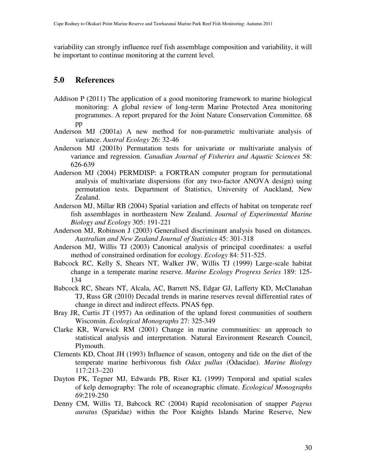variability can strongly influence reef fish assemblage composition and variability, it will be important to continue monitoring at the current level.

### **5.0 References**

- Addison P (2011) The application of a good monitoring framework to marine biological monitoring: A global review of long-term Marine Protected Area monitoring programmes. A report prepared for the Joint Nature Conservation Committee. 68 pp
- Anderson MJ (2001a) A new method for non-parametric multivariate analysis of variance. *Austral Ecology* 26: 32-46
- Anderson MJ (2001b) Permutation tests for univariate or multivariate analysis of variance and regression. *Canadian Journal of Fisheries and Aquatic Sciences* 58: 626-639
- Anderson MJ (2004) PERMDISP: a FORTRAN computer program for permutational analysis of multivariate dispersions (for any two-factor ANOVA design) using permutation tests. Department of Statistics, University of Auckland, New Zealand.
- Anderson MJ, Millar RB (2004) Spatial variation and effects of habitat on temperate reef fish assemblages in northeastern New Zealand. *Journal of Experimental Marine Biology and Ecology* 305: 191-221
- Anderson MJ, Robinson J (2003) Generalised discriminant analysis based on distances. *Australian and New Zealand Journal of Statistics* 45: 301-318
- Anderson MJ, Willis TJ (2003) Canonical analysis of principal coordinates: a useful method of constrained ordination for ecology. *Ecology* 84: 511-525.
- Babcock RC, Kelly S, Shears NT, Walker JW, Willis TJ (1999) Large-scale habitat change in a temperate marine reserve. *Marine Ecology Progress Series* 189: 125- 134
- Babcock RC, Shears NT, Alcala, AC, Barrett NS, Edgar GJ, Lafferty KD, McClanahan TJ, Russ GR (2010) Decadal trends in marine reserves reveal differential rates of change in direct and indirect effects. PNAS 6pp.
- Bray JR, Curtis JT (1957) An ordination of the upland forest communities of southern Wisconsin. *Ecological Monographs* 27: 325-349
- Clarke KR, Warwick RM (2001) Change in marine communities: an approach to statistical analysis and interpretation. Natural Environment Research Council, Plymouth.
- Clements KD, Choat JH (1993) Influence of season, ontogeny and tide on the diet of the temperate marine herbivorous fish *Odax pullus* (Odacidae). *Marine Biology* 117:213–220
- Dayton PK, Tegner MJ, Edwards PB, Riser KL (1999) Temporal and spatial scales of kelp demography: The role of oceanographic climate. *Ecological Monographs 69*:219-250
- Denny CM, Willis TJ, Babcock RC (2004) Rapid recolonisation of snapper *Pagrus auratus* (Sparidae) within the Poor Knights Islands Marine Reserve, New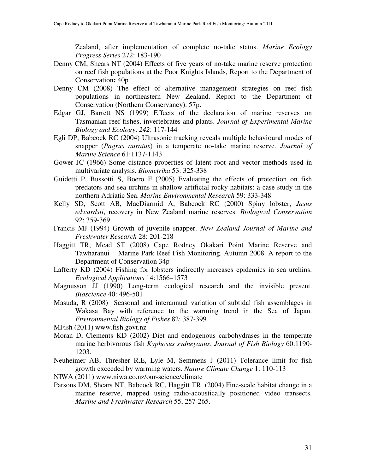Zealand, after implementation of complete no-take status. *Marine Ecology Progress Series* 272: 183-190

- Denny CM, Shears NT (2004) Effects of five years of no-take marine reserve protection on reef fish populations at the Poor Knights Islands, Report to the Department of Conservation**:** 40p.
- Denny CM (2008) The effect of alternative management strategies on reef fish populations in northeastern New Zealand. Report to the Department of Conservation (Northern Conservancy). 57p.
- Edgar GJ, Barrett NS (1999) Effects of the declaration of marine reserves on Tasmanian reef fishes, invertebrates and plants. *Journal of Experimental Marine Biology and Ecology*. *242*: 117-144
- Egli DP, Babcock RC (2004) Ultrasonic tracking reveals multiple behavioural modes of snapper (*Pagrus auratus*) in a temperate no-take marine reserve. *Journal of Marine Science* 61:1137-1143
- Gower JC (1966) Some distance properties of latent root and vector methods used in multivariate analysis. *Biometrika* 53: 325-338
- Guidetti P, Bussotti S, Boero F (2005) Evaluating the effects of protection on fish predators and sea urchins in shallow artificial rocky habitats: a case study in the northern Adriatic Sea. *Marine Environmental Research* 59: 333-348
- Kelly SD, Scott AB, MacDiarmid A, Babcock RC (2000) Spiny lobster, *Jasus edwardsii*, recovery in New Zealand marine reserves. *Biological Conservation* 92: 359-369
- Francis MJ (1994) Growth of juvenile snapper. *New Zealand Journal of Marine and Freshwater Research* 28: 201-218
- Haggitt TR, Mead ST (2008) Cape Rodney Okakari Point Marine Reserve and Tawharanui Marine Park Reef Fish Monitoring. Autumn 2008. A report to the Department of Conservation 34p
- Lafferty KD (2004) Fishing for lobsters indirectly increases epidemics in sea urchins. *Ecological Applications* 14:1566–1573
- Magnusson JJ (1990) Long-term ecological research and the invisible present. *Bioscience* 40: 496-501
- Masuda, R (2008) Seasonal and interannual variation of subtidal fish assemblages in Wakasa Bay with reference to the warming trend in the Sea of Japan. *Environmental Biology of Fishes* 82: 387-399
- MFish (2011) www.fish.govt.nz
- Moran D, Clements KD (2002) Diet and endogenous carbohydrases in the temperate marine herbivorous fish *Kyphosus sydneyanus*. *Journal of Fish Biology* 60:1190- 1203.
- Neuheimer AB, Thresher R.E, Lyle M, Semmens J (2011) Tolerance limit for fish growth exceeded by warming waters. *Nature Climate Change* 1: 110-113
- NIWA (2011) www.niwa.co.nz/our-science/climate
- Parsons DM, Shears NT, Babcock RC, Haggitt TR. (2004) Fine-scale habitat change in a marine reserve, mapped using radio-acoustically positioned video transects. *Marine and Freshwater Research* 55, 257-265.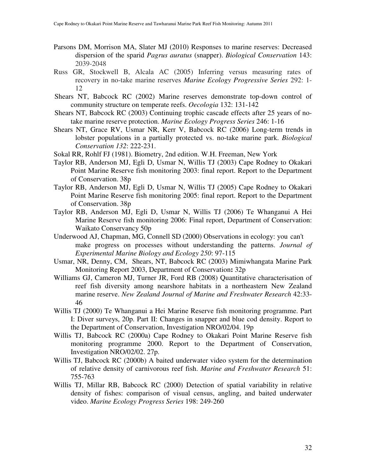- Parsons DM, Morrison MA, Slater MJ (2010) Responses to marine reserves: Decreased dispersion of the sparid *Pagrus auratus* (snapper). *Biological Conservation* 143: 2039-2048
- Russ GR, Stockwell B, Alcala AC (2005) Inferring versus measuring rates of recovery in no-take marine reserves *Marine Ecology Progressive Series* 292: 1- 12
- Shears NT, Babcock RC (2002) Marine reserves demonstrate top-down control of community structure on temperate reefs. *Oecologia* 132: 131-142
- Shears NT, Babcock RC (2003) Continuing trophic cascade effects after 25 years of notake marine reserve protection. *Marine Ecology Progress Series* 246: 1-16
- Shears NT, Grace RV, Usmar NR, Kerr V, Babcock RC (2006) Long-term trends in lobster populations in a partially protected vs. no-take marine park. *Biological Conservation 132*: 222-231.
- Sokal RR, Rohlf FJ (1981). Biometry, 2nd edition. W.H. Freeman, New York
- Taylor RB, Anderson MJ, Egli D, Usmar N, Willis TJ (2003) Cape Rodney to Okakari Point Marine Reserve fish monitoring 2003: final report. Report to the Department of Conservation. 38p
- Taylor RB, Anderson MJ, Egli D, Usmar N, Willis TJ (2005) Cape Rodney to Okakari Point Marine Reserve fish monitoring 2005: final report. Report to the Department of Conservation. 38p
- Taylor RB, Anderson MJ, Egli D, Usmar N, Willis TJ (2006) Te Whanganui A Hei Marine Reserve fish monitoring 2006: Final report, Department of Conservation: Waikato Conservancy 50p
- Underwood AJ, Chapman, MG, Connell SD (2000) Observations in ecology: you can't make progress on processes without understanding the patterns. *Journal of Experimental Marine Biology and Ecology 250*: 97-115
- Usmar, NR, Denny, CM, Shears, NT, Babcock RC (2003) Mimiwhangata Marine Park Monitoring Report 2003, Department of Conservation**:** 32p
- Williams GJ, Cameron MJ, Turner JR, Ford RB (2008) Quantitative characterisation of reef fish diversity among nearshore habitats in a northeastern New Zealand marine reserve. *New Zealand Journal of Marine and Freshwater Research* 42:33- 46
- Willis TJ (2000) Te Whanganui a Hei Marine Reserve fish monitoring programme. Part I: Diver surveys, 20p. Part II: Changes in snapper and blue cod density. Report to the Department of Conservation, Investigation NRO/02/04. 19p
- Willis TJ, Babcock RC (2000a) Cape Rodney to Okakari Point Marine Reserve fish monitoring programme 2000. Report to the Department of Conservation, Investigation NRO/02/02. 27p.
- Willis TJ, Babcock RC (2000b) A baited underwater video system for the determination of relative density of carnivorous reef fish. *Marine and Freshwater Research* 51: 755-763
- Willis TJ, Millar RB, Babcock RC (2000) Detection of spatial variability in relative density of fishes: comparison of visual census, angling, and baited underwater video. *Marine Ecology Progress Series* 198: 249-260